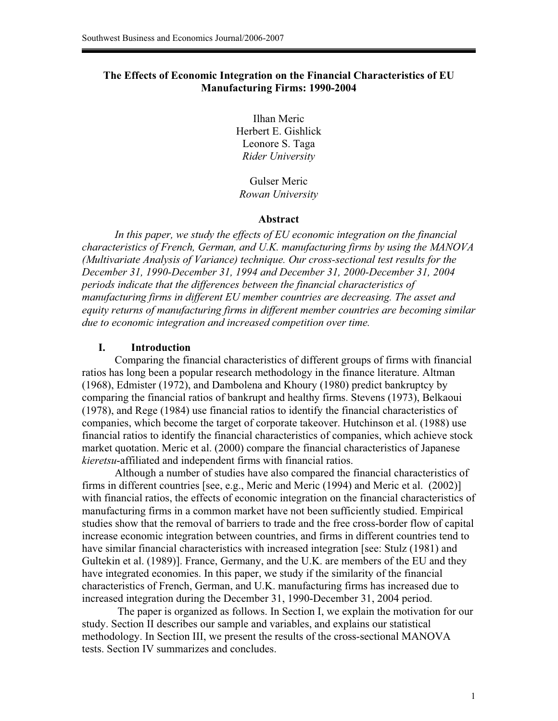## **The Effects of Economic Integration on the Financial Characteristics of EU Manufacturing Firms: 1990-2004**

Ilhan Meric Herbert E. Gishlick Leonore S. Taga *Rider University* 

Gulser Meric *Rowan University* 

#### **Abstract**

 *In this paper, we study the effects of EU economic integration on the financial characteristics of French, German, and U.K. manufacturing firms by using the MANOVA (Multivariate Analysis of Variance) technique. Our cross-sectional test results for the December 31, 1990-December 31, 1994 and December 31, 2000-December 31, 2004 periods indicate that the differences between the financial characteristics of manufacturing firms in different EU member countries are decreasing. The asset and equity returns of manufacturing firms in different member countries are becoming similar due to economic integration and increased competition over time.*

#### **I. Introduction**

Comparing the financial characteristics of different groups of firms with financial ratios has long been a popular research methodology in the finance literature. Altman (1968), Edmister (1972), and Dambolena and Khoury (1980) predict bankruptcy by comparing the financial ratios of bankrupt and healthy firms. Stevens (1973), Belkaoui (1978), and Rege (1984) use financial ratios to identify the financial characteristics of companies, which become the target of corporate takeover. Hutchinson et al. (1988) use financial ratios to identify the financial characteristics of companies, which achieve stock market quotation. Meric et al. (2000) compare the financial characteristics of Japanese *kieretsu*-affiliated and independent firms with financial ratios.

Although a number of studies have also compared the financial characteristics of firms in different countries [see, e.g., Meric and Meric (1994) and Meric et al. (2002)] with financial ratios, the effects of economic integration on the financial characteristics of manufacturing firms in a common market have not been sufficiently studied. Empirical studies show that the removal of barriers to trade and the free cross-border flow of capital increase economic integration between countries, and firms in different countries tend to have similar financial characteristics with increased integration [see: Stulz (1981) and Gultekin et al. (1989)]. France, Germany, and the U.K. are members of the EU and they have integrated economies. In this paper, we study if the similarity of the financial characteristics of French, German, and U.K. manufacturing firms has increased due to increased integration during the December 31, 1990-December 31, 2004 period.

 The paper is organized as follows. In Section I, we explain the motivation for our study. Section II describes our sample and variables, and explains our statistical methodology. In Section III, we present the results of the cross-sectional MANOVA tests. Section IV summarizes and concludes.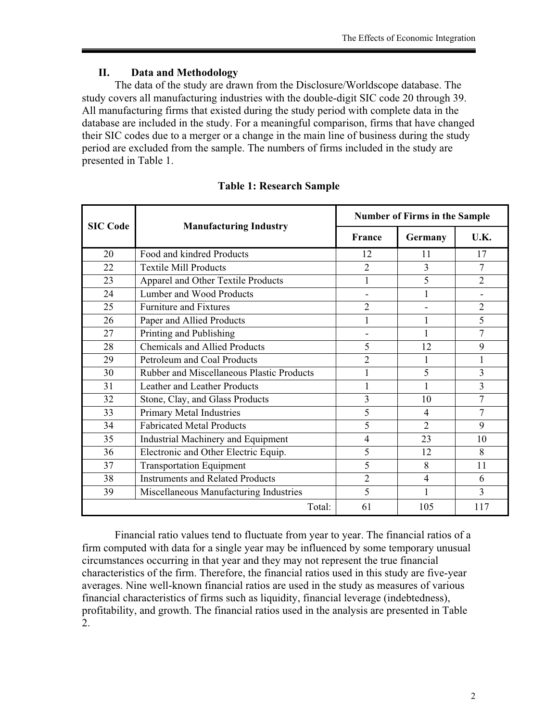# **II. Data and Methodology**

 The data of the study are drawn from the Disclosure/Worldscope database. The study covers all manufacturing industries with the double-digit SIC code 20 through 39. All manufacturing firms that existed during the study period with complete data in the database are included in the study. For a meaningful comparison, firms that have changed their SIC codes due to a merger or a change in the main line of business during the study period are excluded from the sample. The numbers of firms included in the study are presented in Table 1.

| <b>SIC Code</b> |                                                  | <b>Number of Firms in the Sample</b> |                |                |  |
|-----------------|--------------------------------------------------|--------------------------------------|----------------|----------------|--|
|                 | <b>Manufacturing Industry</b>                    | <b>France</b>                        | Germany        | U.K.           |  |
| 20              | Food and kindred Products                        | 12                                   | 11             | 17             |  |
| 22              | <b>Textile Mill Products</b>                     | $\overline{2}$                       | 3              | 7              |  |
| 23              | Apparel and Other Textile Products               | 1                                    | 5              | $\overline{2}$ |  |
| 24              | Lumber and Wood Products                         |                                      |                |                |  |
| 25              | <b>Furniture and Fixtures</b>                    | $\overline{2}$                       |                | $\overline{2}$ |  |
| 26              | Paper and Allied Products                        | $\mathbf{1}$                         | 1              | 5              |  |
| 27              | Printing and Publishing                          |                                      |                | 7              |  |
| 28              | <b>Chemicals and Allied Products</b>             | 5                                    | 12             | 9              |  |
| 29              | Petroleum and Coal Products                      | $\overline{2}$                       |                | 1              |  |
| 30              | <b>Rubber and Miscellaneous Plastic Products</b> |                                      | 5              | 3              |  |
| 31              | Leather and Leather Products                     | 1                                    | 1              | $\overline{3}$ |  |
| 32              | Stone, Clay, and Glass Products                  | 3                                    | 10             | 7              |  |
| 33              | Primary Metal Industries                         | 5                                    | $\overline{4}$ | 7              |  |
| 34              | <b>Fabricated Metal Products</b>                 | 5                                    | $\overline{2}$ | 9              |  |
| 35              | Industrial Machinery and Equipment               | $\overline{4}$                       | 23             | 10             |  |
| 36              | Electronic and Other Electric Equip.             | 5                                    | 12             | 8              |  |
| 37              | <b>Transportation Equipment</b>                  | 5                                    | 8              | 11             |  |
| 38              | <b>Instruments and Related Products</b>          | $\overline{2}$                       | 4              | 6              |  |
| 39              | Miscellaneous Manufacturing Industries           | 5                                    |                | $\mathbf{3}$   |  |
|                 | Total:                                           | 61                                   | 105            | 117            |  |

## **Table 1: Research Sample**

 Financial ratio values tend to fluctuate from year to year. The financial ratios of a firm computed with data for a single year may be influenced by some temporary unusual circumstances occurring in that year and they may not represent the true financial characteristics of the firm. Therefore, the financial ratios used in this study are five-year averages. Nine well-known financial ratios are used in the study as measures of various financial characteristics of firms such as liquidity, financial leverage (indebtedness), profitability, and growth. The financial ratios used in the analysis are presented in Table 2.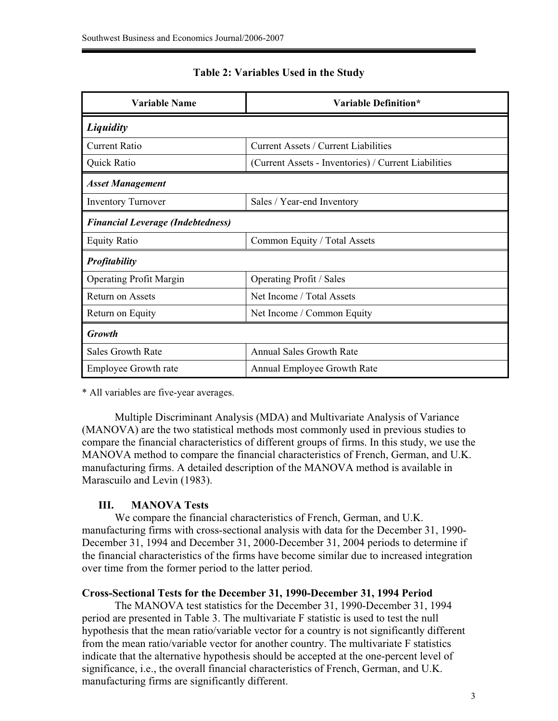| Variable Name                            | Variable Definition*                                 |  |  |  |
|------------------------------------------|------------------------------------------------------|--|--|--|
| Liquidity                                |                                                      |  |  |  |
| <b>Current Ratio</b>                     | <b>Current Assets / Current Liabilities</b>          |  |  |  |
| Quick Ratio                              | (Current Assets - Inventories) / Current Liabilities |  |  |  |
| <b>Asset Management</b>                  |                                                      |  |  |  |
| <b>Inventory Turnover</b>                | Sales / Year-end Inventory                           |  |  |  |
| <b>Financial Leverage (Indebtedness)</b> |                                                      |  |  |  |
| <b>Equity Ratio</b>                      | Common Equity / Total Assets                         |  |  |  |
| <b>Profitability</b>                     |                                                      |  |  |  |
| <b>Operating Profit Margin</b>           | Operating Profit / Sales                             |  |  |  |
| <b>Return on Assets</b>                  | Net Income / Total Assets                            |  |  |  |
| Return on Equity                         | Net Income / Common Equity                           |  |  |  |
| <b>Growth</b>                            |                                                      |  |  |  |
| <b>Sales Growth Rate</b>                 | <b>Annual Sales Growth Rate</b>                      |  |  |  |
| <b>Employee Growth rate</b>              | Annual Employee Growth Rate                          |  |  |  |

## **Table 2: Variables Used in the Study**

\* All variables are five-year averages.

Multiple Discriminant Analysis (MDA) and Multivariate Analysis of Variance (MANOVA) are the two statistical methods most commonly used in previous studies to compare the financial characteristics of different groups of firms. In this study, we use the MANOVA method to compare the financial characteristics of French, German, and U.K. manufacturing firms. A detailed description of the MANOVA method is available in Marascuilo and Levin (1983).

## **III. MANOVA Tests**

We compare the financial characteristics of French, German, and U.K. manufacturing firms with cross-sectional analysis with data for the December 31, 1990- December 31, 1994 and December 31, 2000-December 31, 2004 periods to determine if the financial characteristics of the firms have become similar due to increased integration over time from the former period to the latter period.

## **Cross-Sectional Tests for the December 31, 1990-December 31, 1994 Period**

The MANOVA test statistics for the December 31, 1990-December 31, 1994 period are presented in Table 3. The multivariate F statistic is used to test the null hypothesis that the mean ratio/variable vector for a country is not significantly different from the mean ratio/variable vector for another country. The multivariate F statistics indicate that the alternative hypothesis should be accepted at the one-percent level of significance, i.e., the overall financial characteristics of French, German, and U.K. manufacturing firms are significantly different.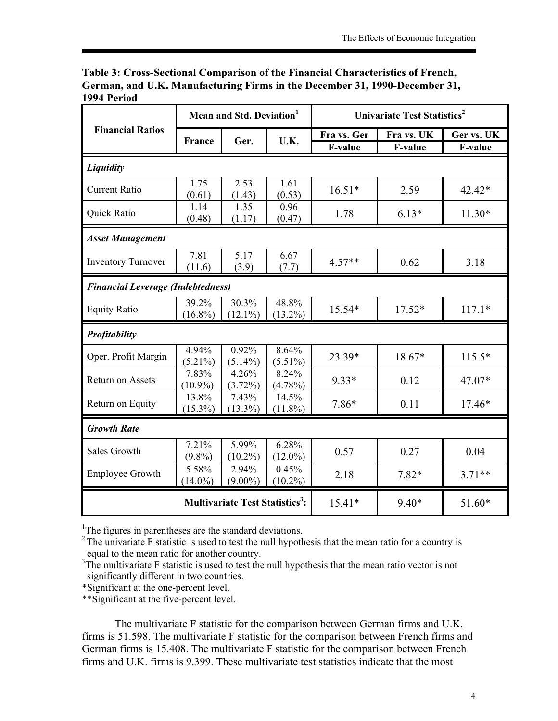| Table 3: Cross-Sectional Comparison of the Financial Characteristics of French, |
|---------------------------------------------------------------------------------|
| German, and U.K. Manufacturing Firms in the December 31, 1990-December 31,      |
| 1994 Period                                                                     |

|                                                  | Mean and Std. Deviation <sup>1</sup>     |                     |                     | Univariate Test Statistics <sup>2</sup> |            |            |
|--------------------------------------------------|------------------------------------------|---------------------|---------------------|-----------------------------------------|------------|------------|
| <b>Financial Ratios</b>                          | <b>France</b>                            | Ger.                | U.K.                | Fra vs. Ger                             | Fra vs. UK | Ger vs. UK |
|                                                  |                                          |                     |                     | F-value                                 | F-value    | F-value    |
| Liquidity                                        |                                          |                     |                     |                                         |            |            |
| <b>Current Ratio</b>                             | 1.75<br>(0.61)                           | 2.53<br>(1.43)      | 1.61<br>(0.53)      | $16.51*$                                | 2.59       | 42.42*     |
| Quick Ratio                                      | 1.14<br>(0.48)                           | 1.35<br>(1.17)      | 0.96<br>(0.47)      | 1.78                                    | $6.13*$    | $11.30*$   |
| <b>Asset Management</b>                          |                                          |                     |                     |                                         |            |            |
| <b>Inventory Turnover</b>                        | 7.81<br>(11.6)                           | 5.17<br>(3.9)       | 6.67<br>(7.7)       | $4.57**$                                | 0.62       | 3.18       |
|                                                  | <b>Financial Leverage (Indebtedness)</b> |                     |                     |                                         |            |            |
| <b>Equity Ratio</b>                              | 39.2%<br>$(16.8\%)$                      | 30.3%<br>$(12.1\%)$ | 48.8%<br>$(13.2\%)$ | 15.54*                                  | $17.52*$   | $117.1*$   |
| Profitability                                    |                                          |                     |                     |                                         |            |            |
| Oper. Profit Margin                              | 4.94%<br>$(5.21\%)$                      | 0.92%<br>$(5.14\%)$ | 8.64%<br>$(5.51\%)$ | 23.39*                                  | 18.67*     | $115.5*$   |
| Return on Assets                                 | 7.83%<br>$(10.9\%)$                      | 4.26%<br>$(3.72\%)$ | 8.24%<br>$(4.78\%)$ | $9.33*$                                 | 0.12       | 47.07*     |
| Return on Equity                                 | 13.8%<br>$(15.3\%)$                      | 7.43%<br>$(13.3\%)$ | 14.5%<br>$(11.8\%)$ | 7.86*                                   | 0.11       | $17.46*$   |
| <b>Growth Rate</b>                               |                                          |                     |                     |                                         |            |            |
| <b>Sales Growth</b>                              | 7.21%<br>$(9.8\%)$                       | 5.99%<br>$(10.2\%)$ | 6.28%<br>$(12.0\%)$ | 0.57                                    | 0.27       | 0.04       |
| <b>Employee Growth</b>                           | 5.58%<br>$(14.0\%)$                      | 2.94%<br>$(9.00\%)$ | 0.45%<br>$(10.2\%)$ | 2.18                                    | $7.82*$    | $3.71**$   |
| <b>Multivariate Test Statistics<sup>3</sup>:</b> |                                          |                     |                     | $15.41*$                                | $9.40*$    | 51.60*     |

<sup>1</sup>The figures in parentheses are the standard deviations.

 $2$ <sup>2</sup> The univariate F statistic is used to test the null hypothesis that the mean ratio for a country is equal to the mean ratio for another country.

 $3$ The multivariate F statistic is used to test the null hypothesis that the mean ratio vector is not significantly different in two countries.

\*Significant at the one-percent level.

\*\*Significant at the five-percent level.

 The multivariate F statistic for the comparison between German firms and U.K. firms is 51.598. The multivariate F statistic for the comparison between French firms and German firms is 15.408. The multivariate F statistic for the comparison between French firms and U.K. firms is 9.399. These multivariate test statistics indicate that the most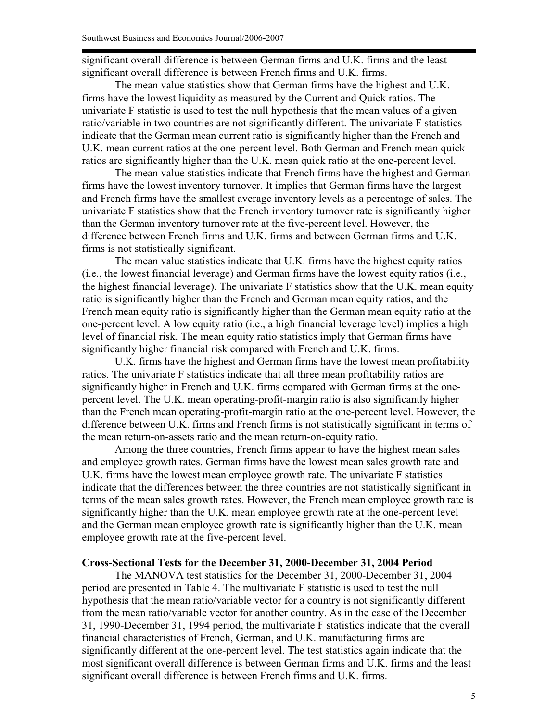significant overall difference is between German firms and U.K. firms and the least significant overall difference is between French firms and U.K. firms.

The mean value statistics show that German firms have the highest and U.K. firms have the lowest liquidity as measured by the Current and Quick ratios. The univariate F statistic is used to test the null hypothesis that the mean values of a given ratio/variable in two countries are not significantly different. The univariate F statistics indicate that the German mean current ratio is significantly higher than the French and U.K. mean current ratios at the one-percent level. Both German and French mean quick ratios are significantly higher than the U.K. mean quick ratio at the one-percent level.

The mean value statistics indicate that French firms have the highest and German firms have the lowest inventory turnover. It implies that German firms have the largest and French firms have the smallest average inventory levels as a percentage of sales. The univariate F statistics show that the French inventory turnover rate is significantly higher than the German inventory turnover rate at the five-percent level. However, the difference between French firms and U.K. firms and between German firms and U.K. firms is not statistically significant.

The mean value statistics indicate that U.K. firms have the highest equity ratios (i.e., the lowest financial leverage) and German firms have the lowest equity ratios (i.e., the highest financial leverage). The univariate F statistics show that the U.K. mean equity ratio is significantly higher than the French and German mean equity ratios, and the French mean equity ratio is significantly higher than the German mean equity ratio at the one-percent level. A low equity ratio (i.e., a high financial leverage level) implies a high level of financial risk. The mean equity ratio statistics imply that German firms have significantly higher financial risk compared with French and U.K. firms.

U.K. firms have the highest and German firms have the lowest mean profitability ratios. The univariate F statistics indicate that all three mean profitability ratios are significantly higher in French and U.K. firms compared with German firms at the onepercent level. The U.K. mean operating-profit-margin ratio is also significantly higher than the French mean operating-profit-margin ratio at the one-percent level. However, the difference between U.K. firms and French firms is not statistically significant in terms of the mean return-on-assets ratio and the mean return-on-equity ratio.

Among the three countries, French firms appear to have the highest mean sales and employee growth rates. German firms have the lowest mean sales growth rate and U.K. firms have the lowest mean employee growth rate. The univariate F statistics indicate that the differences between the three countries are not statistically significant in terms of the mean sales growth rates. However, the French mean employee growth rate is significantly higher than the U.K. mean employee growth rate at the one-percent level and the German mean employee growth rate is significantly higher than the U.K. mean employee growth rate at the five-percent level.

#### **Cross-Sectional Tests for the December 31, 2000-December 31, 2004 Period**

The MANOVA test statistics for the December 31, 2000-December 31, 2004 period are presented in Table 4. The multivariate F statistic is used to test the null hypothesis that the mean ratio/variable vector for a country is not significantly different from the mean ratio/variable vector for another country. As in the case of the December 31, 1990-December 31, 1994 period, the multivariate F statistics indicate that the overall financial characteristics of French, German, and U.K. manufacturing firms are significantly different at the one-percent level. The test statistics again indicate that the most significant overall difference is between German firms and U.K. firms and the least significant overall difference is between French firms and U.K. firms.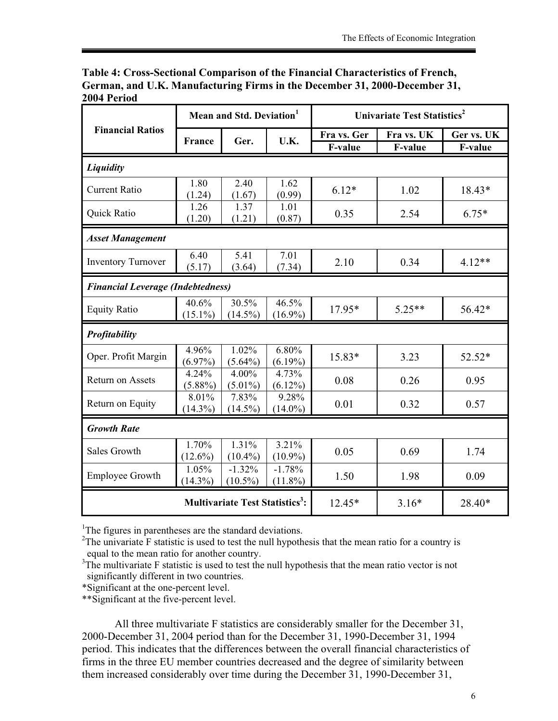| Table 4: Cross-Sectional Comparison of the Financial Characteristics of French, |
|---------------------------------------------------------------------------------|
| German, and U.K. Manufacturing Firms in the December 31, 2000-December 31,      |
| 2004 Period                                                                     |

|                                                  | Mean and Std. Deviation <sup>1</sup>     |                        |                        | Univariate Test Statistics <sup>2</sup> |            |            |
|--------------------------------------------------|------------------------------------------|------------------------|------------------------|-----------------------------------------|------------|------------|
| <b>Financial Ratios</b>                          | <b>France</b>                            |                        | U.K.                   | Fra vs. Ger                             | Fra vs. UK | Ger vs. UK |
|                                                  |                                          | Ger.                   |                        | F-value                                 | F-value    | F-value    |
| Liquidity                                        |                                          |                        |                        |                                         |            |            |
| <b>Current Ratio</b>                             | 1.80<br>(1.24)                           | 2.40<br>(1.67)         | 1.62<br>(0.99)         | $6.12*$                                 | 1.02       | 18.43*     |
| Quick Ratio                                      | 1.26<br>(1.20)                           | 1.37<br>(1.21)         | 1.01<br>(0.87)         | 0.35                                    | 2.54       | $6.75*$    |
| <b>Asset Management</b>                          |                                          |                        |                        |                                         |            |            |
| <b>Inventory Turnover</b>                        | 6.40<br>(5.17)                           | 5.41<br>(3.64)         | 7.01<br>(7.34)         | 2.10                                    | 0.34       | $4.12**$   |
|                                                  | <b>Financial Leverage (Indebtedness)</b> |                        |                        |                                         |            |            |
| <b>Equity Ratio</b>                              | 40.6%<br>$(15.1\%)$                      | 30.5%<br>$(14.5\%)$    | 46.5%<br>$(16.9\%)$    | 17.95*                                  | $5.25**$   | 56.42*     |
| Profitability                                    |                                          |                        |                        |                                         |            |            |
| Oper. Profit Margin                              | 4.96%<br>$(6.97\%)$                      | 1.02%<br>$(5.64\%)$    | 6.80%<br>$(6.19\%)$    | 15.83*                                  | 3.23       | 52.52*     |
| <b>Return on Assets</b>                          | 4.24%<br>$(5.88\%)$                      | 4.00%<br>$(5.01\%)$    | 4.73%<br>$(6.12\%)$    | 0.08                                    | 0.26       | 0.95       |
| Return on Equity                                 | 8.01%<br>$(14.3\%)$                      | 7.83%<br>$(14.5\%)$    | 9.28%<br>$(14.0\%)$    | 0.01                                    | 0.32       | 0.57       |
| <b>Growth Rate</b>                               |                                          |                        |                        |                                         |            |            |
| <b>Sales Growth</b>                              | 1.70%<br>$(12.6\%)$                      | 1.31%<br>$(10.4\%)$    | 3.21%<br>$(10.9\%)$    | 0.05                                    | 0.69       | 1.74       |
| <b>Employee Growth</b>                           | 1.05%<br>$(14.3\%)$                      | $-1.32%$<br>$(10.5\%)$ | $-1.78%$<br>$(11.8\%)$ | 1.50                                    | 1.98       | 0.09       |
| <b>Multivariate Test Statistics<sup>3</sup>:</b> |                                          |                        |                        | 12.45*                                  | $3.16*$    | 28.40*     |

<sup>1</sup>The figures in parentheses are the standard deviations.

 $2$ The univariate F statistic is used to test the null hypothesis that the mean ratio for a country is equal to the mean ratio for another country.

<sup>3</sup>The multivariate F statistic is used to test the null hypothesis that the mean ratio vector is not significantly different in two countries.

\*Significant at the one-percent level.

\*\*Significant at the five-percent level.

All three multivariate F statistics are considerably smaller for the December 31, 2000-December 31, 2004 period than for the December 31, 1990-December 31, 1994 period. This indicates that the differences between the overall financial characteristics of firms in the three EU member countries decreased and the degree of similarity between them increased considerably over time during the December 31, 1990-December 31,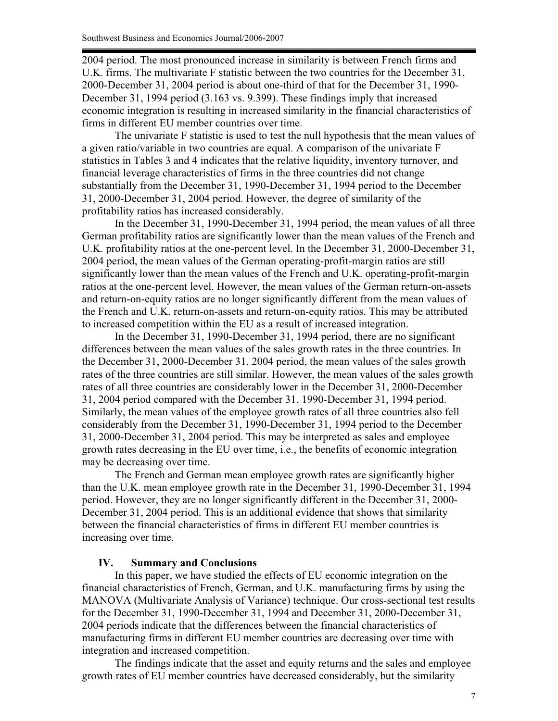2004 period. The most pronounced increase in similarity is between French firms and U.K. firms. The multivariate F statistic between the two countries for the December 31, 2000-December 31, 2004 period is about one-third of that for the December 31, 1990- December 31, 1994 period (3.163 vs. 9.399). These findings imply that increased economic integration is resulting in increased similarity in the financial characteristics of firms in different EU member countries over time.

The univariate F statistic is used to test the null hypothesis that the mean values of a given ratio/variable in two countries are equal. A comparison of the univariate F statistics in Tables 3 and 4 indicates that the relative liquidity, inventory turnover, and financial leverage characteristics of firms in the three countries did not change substantially from the December 31, 1990-December 31, 1994 period to the December 31, 2000-December 31, 2004 period. However, the degree of similarity of the profitability ratios has increased considerably.

In the December 31, 1990-December 31, 1994 period, the mean values of all three German profitability ratios are significantly lower than the mean values of the French and U.K. profitability ratios at the one-percent level. In the December 31, 2000-December 31, 2004 period, the mean values of the German operating-profit-margin ratios are still significantly lower than the mean values of the French and U.K. operating-profit-margin ratios at the one-percent level. However, the mean values of the German return-on-assets and return-on-equity ratios are no longer significantly different from the mean values of the French and U.K. return-on-assets and return-on-equity ratios. This may be attributed to increased competition within the EU as a result of increased integration.

In the December 31, 1990-December 31, 1994 period, there are no significant differences between the mean values of the sales growth rates in the three countries. In the December 31, 2000-December 31, 2004 period, the mean values of the sales growth rates of the three countries are still similar. However, the mean values of the sales growth rates of all three countries are considerably lower in the December 31, 2000-December 31, 2004 period compared with the December 31, 1990-December 31, 1994 period. Similarly, the mean values of the employee growth rates of all three countries also fell considerably from the December 31, 1990-December 31, 1994 period to the December 31, 2000-December 31, 2004 period. This may be interpreted as sales and employee growth rates decreasing in the EU over time, i.e., the benefits of economic integration may be decreasing over time.

The French and German mean employee growth rates are significantly higher than the U.K. mean employee growth rate in the December 31, 1990-December 31, 1994 period. However, they are no longer significantly different in the December 31, 2000- December 31, 2004 period. This is an additional evidence that shows that similarity between the financial characteristics of firms in different EU member countries is increasing over time.

#### **IV. Summary and Conclusions**

In this paper, we have studied the effects of EU economic integration on the financial characteristics of French, German, and U.K. manufacturing firms by using the MANOVA (Multivariate Analysis of Variance) technique. Our cross-sectional test results for the December 31, 1990-December 31, 1994 and December 31, 2000-December 31, 2004 periods indicate that the differences between the financial characteristics of manufacturing firms in different EU member countries are decreasing over time with integration and increased competition.

The findings indicate that the asset and equity returns and the sales and employee growth rates of EU member countries have decreased considerably, but the similarity